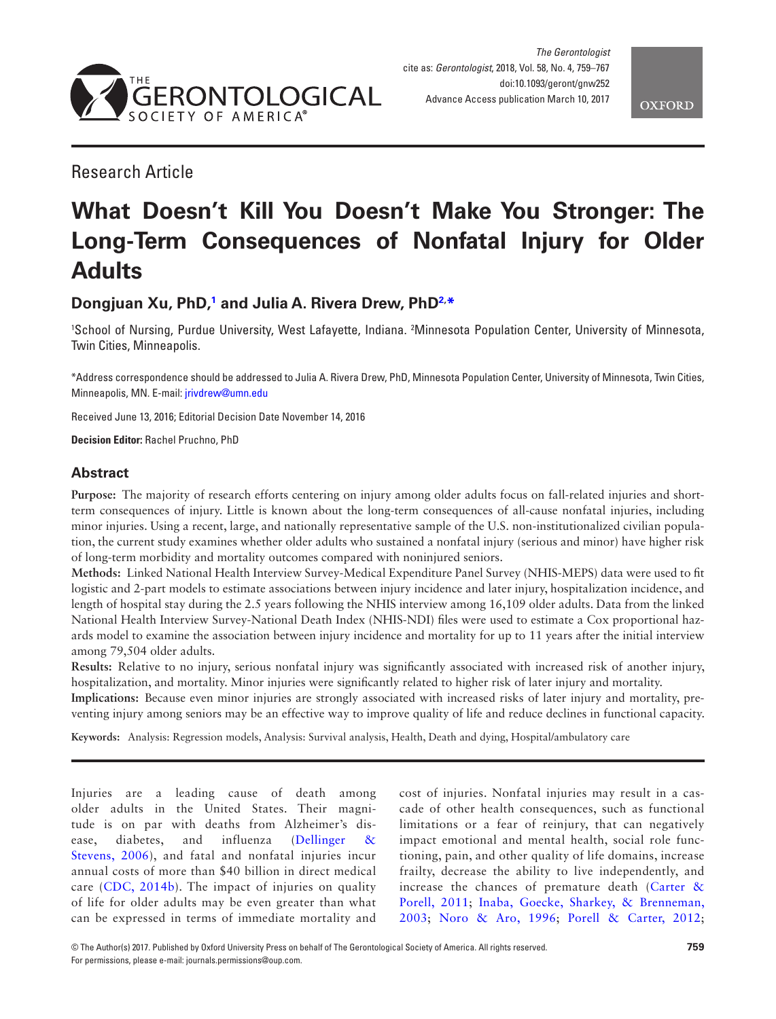



# Research Article

# **What Doesn't Kill You Doesn't Make You Stronger: The Long-Term Consequences of Nonfatal Injury for Older Adults**

# **Dongjuan Xu, PhD[,1](#page-0-0) and Julia A. Rivera Drew, PhD[2,](#page-0-1) [\\*](#page-0-2)**

<span id="page-0-1"></span><span id="page-0-0"></span>'School of Nursing, Purdue University, West Lafayette, Indiana. <sup>2</sup>Minnesota Population Center, University of Minnesota, Twin Cities, Minneapolis.

<span id="page-0-2"></span>\*Address correspondence should be addressed to Julia A. Rivera Drew, PhD, Minnesota Population Center, University of Minnesota, Twin Cities, Minneapolis, MN. E-mail: [jrivdrew@umn.edu](mailto:jrivdrew@umn.edu?subject=)

Received June 13, 2016; Editorial Decision Date November 14, 2016

**Decision Editor:** Rachel Pruchno, PhD

# **Abstract**

**Purpose:** The majority of research efforts centering on injury among older adults focus on fall-related injuries and shortterm consequences of injury. Little is known about the long-term consequences of all-cause nonfatal injuries, including minor injuries. Using a recent, large, and nationally representative sample of the U.S. non-institutionalized civilian population, the current study examines whether older adults who sustained a nonfatal injury (serious and minor) have higher risk of long-term morbidity and mortality outcomes compared with noninjured seniors.

**Methods:** Linked National Health Interview Survey-Medical Expenditure Panel Survey (NHIS-MEPS) data were used to fit logistic and 2-part models to estimate associations between injury incidence and later injury, hospitalization incidence, and length of hospital stay during the 2.5 years following the NHIS interview among 16,109 older adults. Data from the linked National Health Interview Survey-National Death Index (NHIS-NDI) files were used to estimate a Cox proportional hazards model to examine the association between injury incidence and mortality for up to 11 years after the initial interview among 79,504 older adults.

**Results:** Relative to no injury, serious nonfatal injury was significantly associated with increased risk of another injury, hospitalization, and mortality. Minor injuries were significantly related to higher risk of later injury and mortality.

**Implications:** Because even minor injuries are strongly associated with increased risks of later injury and mortality, preventing injury among seniors may be an effective way to improve quality of life and reduce declines in functional capacity.

**Keywords:** Analysis: Regression models, Analysis: Survival analysis, Health, Death and dying, Hospital/ambulatory care

Injuries are a leading cause of death among older adults in the United States. Their magnitude is on par with deaths from Alzheimer's disease, diabetes, and influenza ([Dellinger &](#page-7-0)  [Stevens, 2006\)](#page-7-0), and fatal and nonfatal injuries incur annual costs of more than \$40 billion in direct medical care [\(CDC, 2014b](#page-7-1)). The impact of injuries on quality of life for older adults may be even greater than what can be expressed in terms of immediate mortality and

cost of injuries. Nonfatal injuries may result in a cascade of other health consequences, such as functional limitations or a fear of reinjury, that can negatively impact emotional and mental health, social role functioning, pain, and other quality of life domains, increase frailty, decrease the ability to live independently, and increase the chances of premature death ([Carter &](#page-7-2)  [Porell, 2011;](#page-7-2) [Inaba, Goecke, Sharkey, & Brenneman,](#page-8-0)  [2003](#page-8-0); [Noro & Aro, 1996;](#page-8-1) [Porell & Carter, 2012](#page-8-2);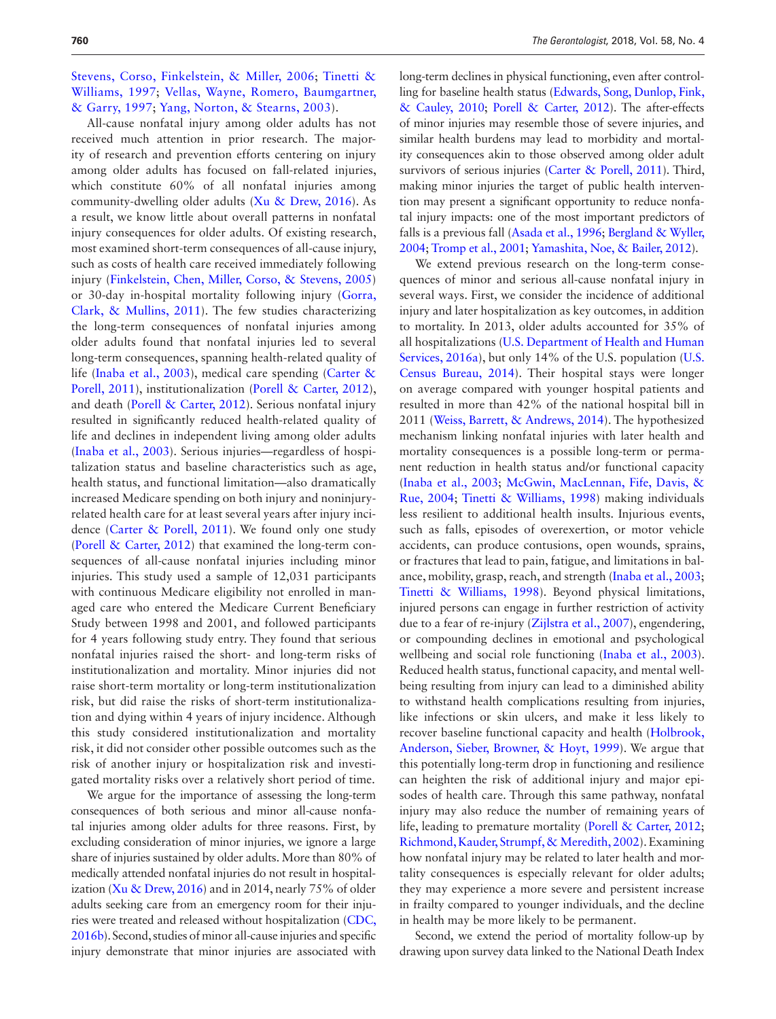[Stevens, Corso, Finkelstein, & Miller, 2006;](#page-8-3) [Tinetti &](#page-8-4)  [Williams, 1997;](#page-8-4) [Vellas, Wayne, Romero, Baumgartner,](#page-8-5)  [& Garry, 1997](#page-8-5); [Yang, Norton, & Stearns, 2003](#page-8-6)).

All-cause nonfatal injury among older adults has not received much attention in prior research. The majority of research and prevention efforts centering on injury among older adults has focused on fall-related injuries, which constitute 60% of all nonfatal injuries among community-dwelling older adults ([Xu & Drew, 2016](#page-8-7)). As a result, we know little about overall patterns in nonfatal injury consequences for older adults. Of existing research, most examined short-term consequences of all-cause injury, such as costs of health care received immediately following injury ([Finkelstein, Chen, Miller, Corso, & Stevens, 2005\)](#page-8-8) or 30-day in-hospital mortality following injury [\(Gorra,](#page-8-9)  [Clark, & Mullins, 2011](#page-8-9)). The few studies characterizing the long-term consequences of nonfatal injuries among older adults found that nonfatal injuries led to several long-term consequences, spanning health-related quality of life [\(Inaba et al., 2003](#page-8-0)), medical care spending ([Carter &](#page-7-2)  [Porell, 2011\)](#page-7-2), institutionalization [\(Porell & Carter, 2012](#page-8-2)), and death ([Porell & Carter, 2012\)](#page-8-2). Serious nonfatal injury resulted in significantly reduced health-related quality of life and declines in independent living among older adults ([Inaba et al., 2003](#page-8-0)). Serious injuries—regardless of hospitalization status and baseline characteristics such as age, health status, and functional limitation—also dramatically increased Medicare spending on both injury and noninjuryrelated health care for at least several years after injury incidence [\(Carter & Porell, 2011](#page-7-2)). We found only one study ([Porell & Carter, 2012](#page-8-2)) that examined the long-term consequences of all-cause nonfatal injuries including minor injuries. This study used a sample of 12,031 participants with continuous Medicare eligibility not enrolled in managed care who entered the Medicare Current Beneficiary Study between 1998 and 2001, and followed participants for 4 years following study entry. They found that serious nonfatal injuries raised the short- and long-term risks of institutionalization and mortality. Minor injuries did not raise short-term mortality or long-term institutionalization risk, but did raise the risks of short-term institutionalization and dying within 4 years of injury incidence. Although this study considered institutionalization and mortality risk, it did not consider other possible outcomes such as the risk of another injury or hospitalization risk and investigated mortality risks over a relatively short period of time.

We argue for the importance of assessing the long-term consequences of both serious and minor all-cause nonfatal injuries among older adults for three reasons. First, by excluding consideration of minor injuries, we ignore a large share of injuries sustained by older adults. More than 80% of medically attended nonfatal injuries do not result in hospitalization [\(Xu & Drew, 2016\)](#page-8-7) and in 2014, nearly 75% of older adults seeking care from an emergency room for their injuries were treated and released without hospitalization [\(CDC,](#page-7-3)  [2016b\)](#page-7-3). Second, studies of minor all-cause injuries and specific injury demonstrate that minor injuries are associated with

long-term declines in physical functioning, even after controlling for baseline health status ([Edwards, Song, Dunlop, Fink,](#page-8-10)  [& Cauley, 2010;](#page-8-10) [Porell & Carter, 2012\)](#page-8-2). The after-effects of minor injuries may resemble those of severe injuries, and similar health burdens may lead to morbidity and mortality consequences akin to those observed among older adult survivors of serious injuries ([Carter & Porell, 2011\)](#page-7-2). Third, making minor injuries the target of public health intervention may present a significant opportunity to reduce nonfatal injury impacts: one of the most important predictors of falls is a previous fall ([Asada et al., 1996;](#page-7-4) [Bergland & Wyller,](#page-7-5)  [2004;](#page-7-5) [Tromp et al., 2001](#page-8-11); [Yamashita, Noe, & Bailer, 2012\)](#page-8-12).

We extend previous research on the long-term consequences of minor and serious all-cause nonfatal injury in several ways. First, we consider the incidence of additional injury and later hospitalization as key outcomes, in addition to mortality. In 2013, older adults accounted for 35% of all hospitalizations ([U.S. Department of Health and Human](#page-8-13)  [Services, 2016a](#page-8-13)), but only 14% of the U.S. population ([U.S.](#page-8-14)  [Census Bureau, 2014](#page-8-14)). Their hospital stays were longer on average compared with younger hospital patients and resulted in more than 42% of the national hospital bill in 2011 ([Weiss, Barrett, & Andrews, 2014\)](#page-8-15). The hypothesized mechanism linking nonfatal injuries with later health and mortality consequences is a possible long-term or permanent reduction in health status and/or functional capacity ([Inaba et al., 2003](#page-8-0); [McGwin, MacLennan, Fife, Davis, &](#page-8-16)  [Rue, 2004;](#page-8-16) [Tinetti & Williams, 1998](#page-8-17)) making individuals less resilient to additional health insults. Injurious events, such as falls, episodes of overexertion, or motor vehicle accidents, can produce contusions, open wounds, sprains, or fractures that lead to pain, fatigue, and limitations in balance, mobility, grasp, reach, and strength [\(Inaba et al., 2003](#page-8-0); [Tinetti & Williams, 1998](#page-8-17)). Beyond physical limitations, injured persons can engage in further restriction of activity due to a fear of re-injury ([Zijlstra et al., 2007](#page-8-18)), engendering, or compounding declines in emotional and psychological wellbeing and social role functioning ([Inaba et al., 2003](#page-8-0)). Reduced health status, functional capacity, and mental wellbeing resulting from injury can lead to a diminished ability to withstand health complications resulting from injuries, like infections or skin ulcers, and make it less likely to recover baseline functional capacity and health [\(Holbrook,](#page-8-19)  [Anderson, Sieber, Browner, & Hoyt, 1999\)](#page-8-19). We argue that this potentially long-term drop in functioning and resilience can heighten the risk of additional injury and major episodes of health care. Through this same pathway, nonfatal injury may also reduce the number of remaining years of life, leading to premature mortality [\(Porell & Carter, 2012](#page-8-2); [Richmond, Kauder, Strumpf, & Meredith, 2002\)](#page-8-20). Examining how nonfatal injury may be related to later health and mortality consequences is especially relevant for older adults; they may experience a more severe and persistent increase in frailty compared to younger individuals, and the decline in health may be more likely to be permanent.

Second, we extend the period of mortality follow-up by drawing upon survey data linked to the National Death Index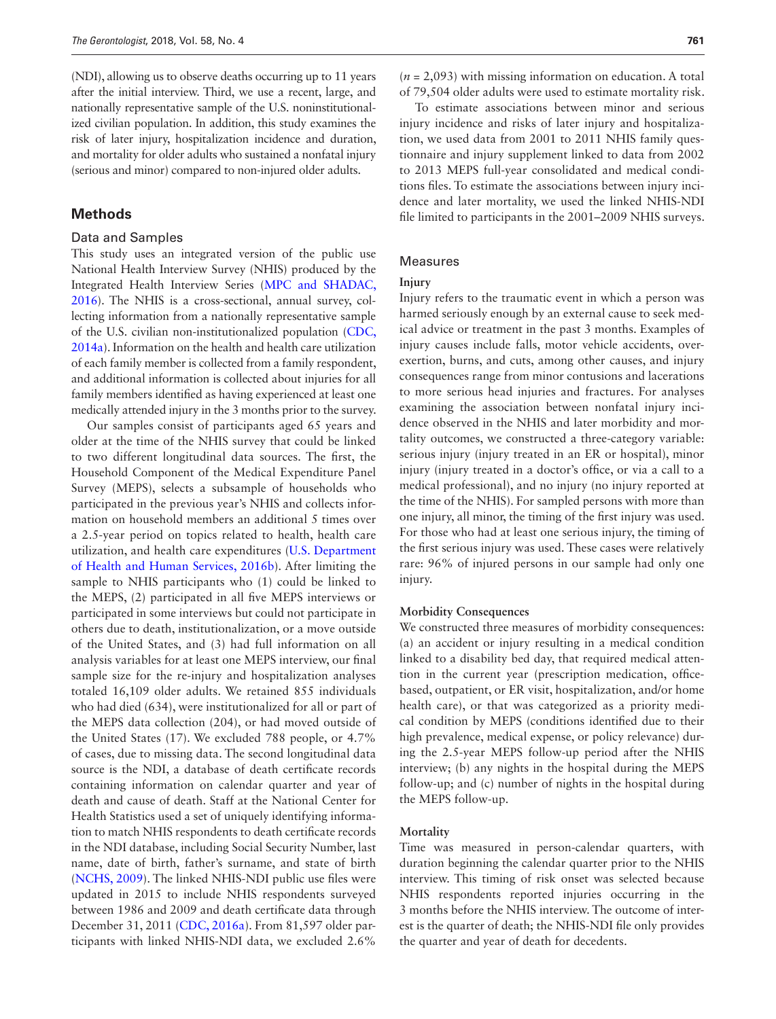(NDI), allowing us to observe deaths occurring up to 11 years after the initial interview. Third, we use a recent, large, and nationally representative sample of the U.S. noninstitutionalized civilian population. In addition, this study examines the risk of later injury, hospitalization incidence and duration, and mortality for older adults who sustained a nonfatal injury (serious and minor) compared to non-injured older adults.

# **Methods**

#### Data and Samples

This study uses an integrated version of the public use National Health Interview Survey (NHIS) produced by the Integrated Health Interview Series ([MPC and SHADAC,](#page-8-21)  [2016\)](#page-8-21). The NHIS is a cross-sectional, annual survey, collecting information from a nationally representative sample of the U.S. civilian non-institutionalized population [\(CDC,](#page-7-6)  [2014a](#page-7-6)). Information on the health and health care utilization of each family member is collected from a family respondent, and additional information is collected about injuries for all family members identified as having experienced at least one medically attended injury in the 3 months prior to the survey.

Our samples consist of participants aged 65 years and older at the time of the NHIS survey that could be linked to two different longitudinal data sources. The first, the Household Component of the Medical Expenditure Panel Survey (MEPS), selects a subsample of households who participated in the previous year's NHIS and collects information on household members an additional 5 times over a 2.5-year period on topics related to health, health care utilization, and health care expenditures ([U.S. Department](#page-8-22)  [of Health and Human Services, 2016b](#page-8-22)). After limiting the sample to NHIS participants who (1) could be linked to the MEPS, (2) participated in all five MEPS interviews or participated in some interviews but could not participate in others due to death, institutionalization, or a move outside of the United States, and (3) had full information on all analysis variables for at least one MEPS interview, our final sample size for the re-injury and hospitalization analyses totaled 16,109 older adults. We retained 855 individuals who had died (634), were institutionalized for all or part of the MEPS data collection (204), or had moved outside of the United States (17). We excluded 788 people, or 4.7% of cases, due to missing data. The second longitudinal data source is the NDI, a database of death certificate records containing information on calendar quarter and year of death and cause of death. Staff at the National Center for Health Statistics used a set of uniquely identifying information to match NHIS respondents to death certificate records in the NDI database, including Social Security Number, last name, date of birth, father's surname, and state of birth ([NCHS, 2009\)](#page-8-23). The linked NHIS-NDI public use files were updated in 2015 to include NHIS respondents surveyed between 1986 and 2009 and death certificate data through December 31, 2011 ([CDC, 2016a\)](#page-7-7). From 81,597 older participants with linked NHIS-NDI data, we excluded 2.6%

(*n* = 2,093) with missing information on education. A total of 79,504 older adults were used to estimate mortality risk.

To estimate associations between minor and serious injury incidence and risks of later injury and hospitalization, we used data from 2001 to 2011 NHIS family questionnaire and injury supplement linked to data from 2002 to 2013 MEPS full-year consolidated and medical conditions files. To estimate the associations between injury incidence and later mortality, we used the linked NHIS-NDI file limited to participants in the 2001–2009 NHIS surveys.

#### Measures

#### **Injury**

Injury refers to the traumatic event in which a person was harmed seriously enough by an external cause to seek medical advice or treatment in the past 3 months. Examples of injury causes include falls, motor vehicle accidents, overexertion, burns, and cuts, among other causes, and injury consequences range from minor contusions and lacerations to more serious head injuries and fractures. For analyses examining the association between nonfatal injury incidence observed in the NHIS and later morbidity and mortality outcomes, we constructed a three-category variable: serious injury (injury treated in an ER or hospital), minor injury (injury treated in a doctor's office, or via a call to a medical professional), and no injury (no injury reported at the time of the NHIS). For sampled persons with more than one injury, all minor, the timing of the first injury was used. For those who had at least one serious injury, the timing of the first serious injury was used. These cases were relatively rare: 96% of injured persons in our sample had only one injury.

#### **Morbidity Consequences**

We constructed three measures of morbidity consequences: (a) an accident or injury resulting in a medical condition linked to a disability bed day, that required medical attention in the current year (prescription medication, officebased, outpatient, or ER visit, hospitalization, and/or home health care), or that was categorized as a priority medical condition by MEPS (conditions identified due to their high prevalence, medical expense, or policy relevance) during the 2.5-year MEPS follow-up period after the NHIS interview; (b) any nights in the hospital during the MEPS follow-up; and (c) number of nights in the hospital during the MEPS follow-up.

## **Mortality**

Time was measured in person-calendar quarters, with duration beginning the calendar quarter prior to the NHIS interview. This timing of risk onset was selected because NHIS respondents reported injuries occurring in the 3 months before the NHIS interview. The outcome of interest is the quarter of death; the NHIS-NDI file only provides the quarter and year of death for decedents.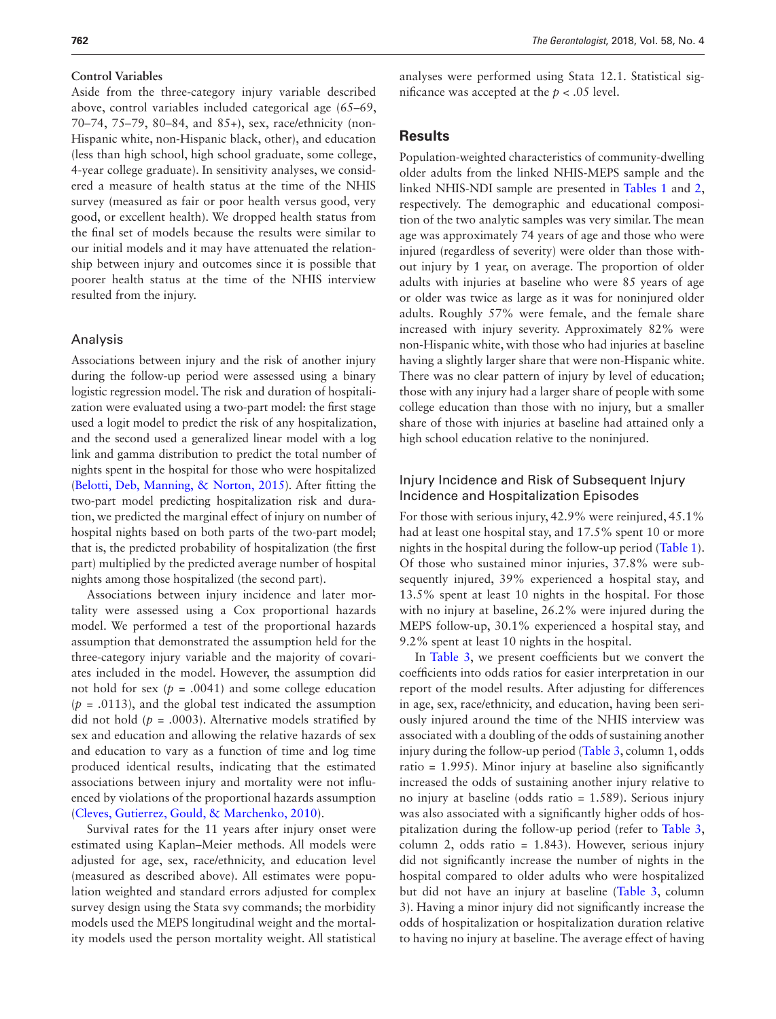# **Control Variables**

Aside from the three-category injury variable described above, control variables included categorical age (65–69, 70–74, 75–79, 80–84, and 85+), sex, race/ethnicity (non-Hispanic white, non-Hispanic black, other), and education (less than high school, high school graduate, some college, 4-year college graduate). In sensitivity analyses, we considered a measure of health status at the time of the NHIS survey (measured as fair or poor health versus good, very good, or excellent health). We dropped health status from the final set of models because the results were similar to our initial models and it may have attenuated the relationship between injury and outcomes since it is possible that poorer health status at the time of the NHIS interview resulted from the injury.

### Analysis

Associations between injury and the risk of another injury during the follow-up period were assessed using a binary logistic regression model. The risk and duration of hospitalization were evaluated using a two-part model: the first stage used a logit model to predict the risk of any hospitalization, and the second used a generalized linear model with a log link and gamma distribution to predict the total number of nights spent in the hospital for those who were hospitalized ([Belotti, Deb, Manning, & Norton, 2015\)](#page-7-8). After fitting the two-part model predicting hospitalization risk and duration, we predicted the marginal effect of injury on number of hospital nights based on both parts of the two-part model; that is, the predicted probability of hospitalization (the first part) multiplied by the predicted average number of hospital nights among those hospitalized (the second part).

Associations between injury incidence and later mortality were assessed using a Cox proportional hazards model. We performed a test of the proportional hazards assumption that demonstrated the assumption held for the three-category injury variable and the majority of covariates included in the model. However, the assumption did not hold for sex ( $p = .0041$ ) and some college education  $(p = .0113)$ , and the global test indicated the assumption did not hold ( $p = .0003$ ). Alternative models stratified by sex and education and allowing the relative hazards of sex and education to vary as a function of time and log time produced identical results, indicating that the estimated associations between injury and mortality were not influenced by violations of the proportional hazards assumption ([Cleves, Gutierrez, Gould, & Marchenko, 2010](#page-7-9)).

Survival rates for the 11 years after injury onset were estimated using Kaplan–Meier methods. All models were adjusted for age, sex, race/ethnicity, and education level (measured as described above). All estimates were population weighted and standard errors adjusted for complex survey design using the Stata svy commands; the morbidity models used the MEPS longitudinal weight and the mortality models used the person mortality weight. All statistical

analyses were performed using Stata 12.1. Statistical significance was accepted at the *p* < .05 level.

# **Results**

Population-weighted characteristics of community-dwelling older adults from the linked NHIS-MEPS sample and the linked NHIS-NDI sample are presented in [Tables 1](#page-4-0) and [2](#page-5-0), respectively. The demographic and educational composition of the two analytic samples was very similar. The mean age was approximately 74 years of age and those who were injured (regardless of severity) were older than those without injury by 1 year, on average. The proportion of older adults with injuries at baseline who were 85 years of age or older was twice as large as it was for noninjured older adults. Roughly 57% were female, and the female share increased with injury severity. Approximately 82% were non-Hispanic white, with those who had injuries at baseline having a slightly larger share that were non-Hispanic white. There was no clear pattern of injury by level of education; those with any injury had a larger share of people with some college education than those with no injury, but a smaller share of those with injuries at baseline had attained only a high school education relative to the noninjured.

# Injury Incidence and Risk of Subsequent Injury Incidence and Hospitalization Episodes

For those with serious injury, 42.9% were reinjured, 45.1% had at least one hospital stay, and 17.5% spent 10 or more nights in the hospital during the follow-up period [\(Table 1](#page-4-0)). Of those who sustained minor injuries, 37.8% were subsequently injured, 39% experienced a hospital stay, and 13.5% spent at least 10 nights in the hospital. For those with no injury at baseline, 26.2% were injured during the MEPS follow-up, 30.1% experienced a hospital stay, and 9.2% spent at least 10 nights in the hospital.

In [Table 3,](#page-5-1) we present coefficients but we convert the coefficients into odds ratios for easier interpretation in our report of the model results. After adjusting for differences in age, sex, race/ethnicity, and education, having been seriously injured around the time of the NHIS interview was associated with a doubling of the odds of sustaining another injury during the follow-up period [\(Table 3](#page-5-1), column 1, odds ratio = 1.995). Minor injury at baseline also significantly increased the odds of sustaining another injury relative to no injury at baseline (odds ratio = 1.589). Serious injury was also associated with a significantly higher odds of hospitalization during the follow-up period (refer to [Table 3](#page-5-1), column 2, odds ratio  $= 1.843$ ). However, serious injury did not significantly increase the number of nights in the hospital compared to older adults who were hospitalized but did not have an injury at baseline [\(Table 3,](#page-5-1) column 3). Having a minor injury did not significantly increase the odds of hospitalization or hospitalization duration relative to having no injury at baseline. The average effect of having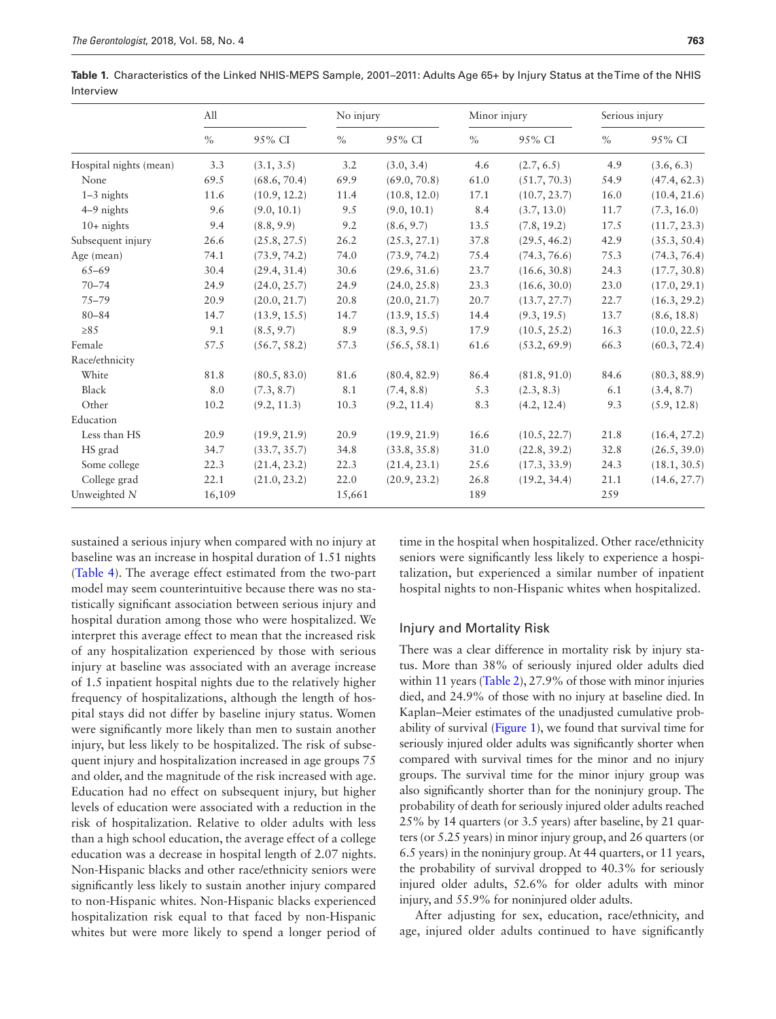<span id="page-4-0"></span>**Table 1.** Characteristics of the Linked NHIS-MEPS Sample, 2001–2011: Adults Age 65+ by Injury Status at the Time of the NHIS Interview

|                        | All    |              | No injury |              | Minor injury |              | Serious injury |              |
|------------------------|--------|--------------|-----------|--------------|--------------|--------------|----------------|--------------|
|                        | $\%$   | 95% CI       | $\%$      | 95% CI       | $\%$         | 95% CI       | $\%$           | 95% CI       |
| Hospital nights (mean) | 3.3    | (3.1, 3.5)   | 3.2       | (3.0, 3.4)   | 4.6          | (2.7, 6.5)   | 4.9            | (3.6, 6.3)   |
| None                   | 69.5   | (68.6, 70.4) | 69.9      | (69.0, 70.8) | 61.0         | (51.7, 70.3) | 54.9           | (47.4, 62.3) |
| $1-3$ nights           | 11.6   | (10.9, 12.2) | 11.4      | (10.8, 12.0) | 17.1         | (10.7, 23.7) | 16.0           | (10.4, 21.6) |
| 4-9 nights             | 9.6    | (9.0, 10.1)  | 9.5       | (9.0, 10.1)  | 8.4          | (3.7, 13.0)  | 11.7           | (7.3, 16.0)  |
| $10+$ nights           | 9.4    | (8.8, 9.9)   | 9.2       | (8.6, 9.7)   | 13.5         | (7.8, 19.2)  | 17.5           | (11.7, 23.3) |
| Subsequent injury      | 26.6   | (25.8, 27.5) | 26.2      | (25.3, 27.1) | 37.8         | (29.5, 46.2) | 42.9           | (35.3, 50.4) |
| Age (mean)             | 74.1   | (73.9, 74.2) | 74.0      | (73.9, 74.2) | 75.4         | (74.3, 76.6) | 75.3           | (74.3, 76.4) |
| $65 - 69$              | 30.4   | (29.4, 31.4) | 30.6      | (29.6, 31.6) | 23.7         | (16.6, 30.8) | 24.3           | (17.7, 30.8) |
| $70 - 74$              | 24.9   | (24.0, 25.7) | 24.9      | (24.0, 25.8) | 23.3         | (16.6, 30.0) | 23.0           | (17.0, 29.1) |
| $75 - 79$              | 20.9   | (20.0, 21.7) | 20.8      | (20.0, 21.7) | 20.7         | (13.7, 27.7) | 22.7           | (16.3, 29.2) |
| $80 - 84$              | 14.7   | (13.9, 15.5) | 14.7      | (13.9, 15.5) | 14.4         | (9.3, 19.5)  | 13.7           | (8.6, 18.8)  |
| $\geq 85$              | 9.1    | (8.5, 9.7)   | 8.9       | (8.3, 9.5)   | 17.9         | (10.5, 25.2) | 16.3           | (10.0, 22.5) |
| Female                 | 57.5   | (56.7, 58.2) | 57.3      | (56.5, 58.1) | 61.6         | (53.2, 69.9) | 66.3           | (60.3, 72.4) |
| Race/ethnicity         |        |              |           |              |              |              |                |              |
| White                  | 81.8   | (80.5, 83.0) | 81.6      | (80.4, 82.9) | 86.4         | (81.8, 91.0) | 84.6           | (80.3, 88.9) |
| Black                  | 8.0    | (7.3, 8.7)   | 8.1       | (7.4, 8.8)   | 5.3          | (2.3, 8.3)   | 6.1            | (3.4, 8.7)   |
| Other                  | 10.2   | (9.2, 11.3)  | 10.3      | (9.2, 11.4)  | 8.3          | (4.2, 12.4)  | 9.3            | (5.9, 12.8)  |
| Education              |        |              |           |              |              |              |                |              |
| Less than HS           | 20.9   | (19.9, 21.9) | 20.9      | (19.9, 21.9) | 16.6         | (10.5, 22.7) | 21.8           | (16.4, 27.2) |
| HS grad                | 34.7   | (33.7, 35.7) | 34.8      | (33.8, 35.8) | 31.0         | (22.8, 39.2) | 32.8           | (26.5, 39.0) |
| Some college           | 22.3   | (21.4, 23.2) | 22.3      | (21.4, 23.1) | 25.6         | (17.3, 33.9) | 24.3           | (18.1, 30.5) |
| College grad           | 22.1   | (21.0, 23.2) | 22.0      | (20.9, 23.2) | 26.8         | (19.2, 34.4) | 21.1           | (14.6, 27.7) |
| Unweighted N           | 16,109 |              | 15,661    |              | 189          |              | 259            |              |

sustained a serious injury when compared with no injury at baseline was an increase in hospital duration of 1.51 nights ([Table 4](#page-6-0)). The average effect estimated from the two-part model may seem counterintuitive because there was no statistically significant association between serious injury and hospital duration among those who were hospitalized. We interpret this average effect to mean that the increased risk of any hospitalization experienced by those with serious injury at baseline was associated with an average increase of 1.5 inpatient hospital nights due to the relatively higher frequency of hospitalizations, although the length of hospital stays did not differ by baseline injury status. Women were significantly more likely than men to sustain another injury, but less likely to be hospitalized. The risk of subsequent injury and hospitalization increased in age groups 75 and older, and the magnitude of the risk increased with age. Education had no effect on subsequent injury, but higher levels of education were associated with a reduction in the risk of hospitalization. Relative to older adults with less than a high school education, the average effect of a college education was a decrease in hospital length of 2.07 nights. Non-Hispanic blacks and other race/ethnicity seniors were significantly less likely to sustain another injury compared to non-Hispanic whites. Non-Hispanic blacks experienced hospitalization risk equal to that faced by non-Hispanic whites but were more likely to spend a longer period of

time in the hospital when hospitalized. Other race/ethnicity seniors were significantly less likely to experience a hospitalization, but experienced a similar number of inpatient hospital nights to non-Hispanic whites when hospitalized.

#### Injury and Mortality Risk

There was a clear difference in mortality risk by injury status. More than 38% of seriously injured older adults died within 11 years ([Table 2\)](#page-5-0), 27.9% of those with minor injuries died, and 24.9% of those with no injury at baseline died. In Kaplan–Meier estimates of the unadjusted cumulative probability of survival ([Figure 1\)](#page-6-1), we found that survival time for seriously injured older adults was significantly shorter when compared with survival times for the minor and no injury groups. The survival time for the minor injury group was also significantly shorter than for the noninjury group. The probability of death for seriously injured older adults reached 25% by 14 quarters (or 3.5 years) after baseline, by 21 quarters (or 5.25 years) in minor injury group, and 26 quarters (or 6.5 years) in the noninjury group. At 44 quarters, or 11 years, the probability of survival dropped to 40.3% for seriously injured older adults, 52.6% for older adults with minor injury, and 55.9% for noninjured older adults.

After adjusting for sex, education, race/ethnicity, and age, injured older adults continued to have significantly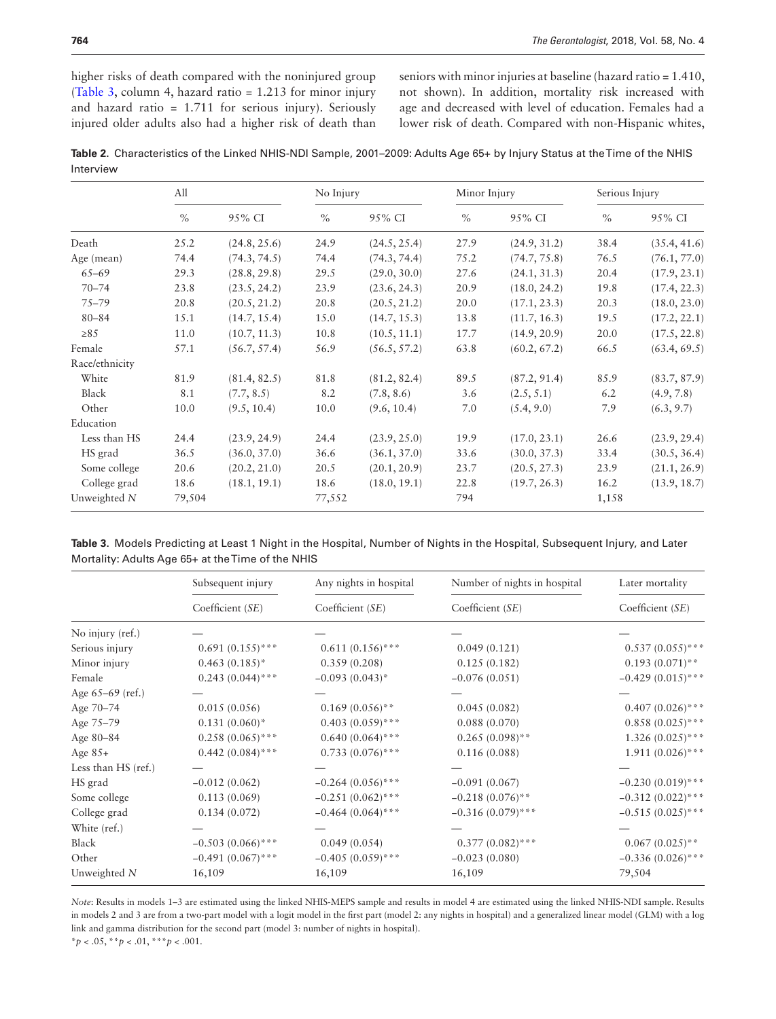higher risks of death compared with the noninjured group ([Table 3,](#page-5-1) column 4, hazard ratio = 1.213 for minor injury and hazard ratio  $= 1.711$  for serious injury). Seriously injured older adults also had a higher risk of death than

seniors with minor injuries at baseline (hazard ratio = 1.410, not shown). In addition, mortality risk increased with age and decreased with level of education. Females had a lower risk of death. Compared with non-Hispanic whites,

<span id="page-5-0"></span>**Table 2.** Characteristics of the Linked NHIS-NDI Sample, 2001–2009: Adults Age 65+ by Injury Status at the Time of the NHIS Interview

|                | All    |              |        | No Injury    |      | Minor Injury |       | Serious Injury |  |
|----------------|--------|--------------|--------|--------------|------|--------------|-------|----------------|--|
|                | $\%$   | 95% CI       | $\%$   | 95% CI       | $\%$ | 95% CI       | $\%$  | 95% CI         |  |
| Death          | 25.2   | (24.8, 25.6) | 24.9   | (24.5, 25.4) | 27.9 | (24.9, 31.2) | 38.4  | (35.4, 41.6)   |  |
| Age (mean)     | 74.4   | (74.3, 74.5) | 74.4   | (74.3, 74.4) | 75.2 | (74.7, 75.8) | 76.5  | (76.1, 77.0)   |  |
| $65 - 69$      | 29.3   | (28.8, 29.8) | 29.5   | (29.0, 30.0) | 27.6 | (24.1, 31.3) | 20.4  | (17.9, 23.1)   |  |
| $70 - 74$      | 23.8   | (23.5, 24.2) | 23.9   | (23.6, 24.3) | 20.9 | (18.0, 24.2) | 19.8  | (17.4, 22.3)   |  |
| $75 - 79$      | 20.8   | (20.5, 21.2) | 20.8   | (20.5, 21.2) | 20.0 | (17.1, 23.3) | 20.3  | (18.0, 23.0)   |  |
| $80 - 84$      | 15.1   | (14.7, 15.4) | 15.0   | (14.7, 15.3) | 13.8 | (11.7, 16.3) | 19.5  | (17.2, 22.1)   |  |
| $\geq 85$      | 11.0   | (10.7, 11.3) | 10.8   | (10.5, 11.1) | 17.7 | (14.9, 20.9) | 20.0  | (17.5, 22.8)   |  |
| Female         | 57.1   | (56.7, 57.4) | 56.9   | (56.5, 57.2) | 63.8 | (60.2, 67.2) | 66.5  | (63.4, 69.5)   |  |
| Race/ethnicity |        |              |        |              |      |              |       |                |  |
| White          | 81.9   | (81.4, 82.5) | 81.8   | (81.2, 82.4) | 89.5 | (87.2, 91.4) | 85.9  | (83.7, 87.9)   |  |
| Black          | 8.1    | (7.7, 8.5)   | 8.2    | (7.8, 8.6)   | 3.6  | (2.5, 5.1)   | 6.2   | (4.9, 7.8)     |  |
| Other          | 10.0   | (9.5, 10.4)  | 10.0   | (9.6, 10.4)  | 7.0  | (5.4, 9.0)   | 7.9   | (6.3, 9.7)     |  |
| Education      |        |              |        |              |      |              |       |                |  |
| Less than HS   | 24.4   | (23.9, 24.9) | 24.4   | (23.9, 25.0) | 19.9 | (17.0, 23.1) | 26.6  | (23.9, 29.4)   |  |
| HS grad        | 36.5   | (36.0, 37.0) | 36.6   | (36.1, 37.0) | 33.6 | (30.0, 37.3) | 33.4  | (30.5, 36.4)   |  |
| Some college   | 20.6   | (20.2, 21.0) | 20.5   | (20.1, 20.9) | 23.7 | (20.5, 27.3) | 23.9  | (21.1, 26.9)   |  |
| College grad   | 18.6   | (18.1, 19.1) | 18.6   | (18.0, 19.1) | 22.8 | (19.7, 26.3) | 16.2  | (13.9, 18.7)   |  |
| Unweighted N   | 79,504 |              | 77,552 |              | 794  |              | 1,158 |                |  |

<span id="page-5-1"></span>**Table 3.** Models Predicting at Least 1 Night in the Hospital, Number of Nights in the Hospital, Subsequent Injury, and Later Mortality: Adults Age 65+ at the Time of the NHIS

|                     | Subsequent injury   | Any nights in hospital | Number of nights in hospital | Later mortality<br>Coefficient (SE) |  |
|---------------------|---------------------|------------------------|------------------------------|-------------------------------------|--|
|                     | Coefficient (SE)    | Coefficient (SE)       | Coefficient (SE)             |                                     |  |
| No injury (ref.)    |                     |                        |                              |                                     |  |
| Serious injury      | $0.691(0.155)$ ***  | $0.611(0.156)$ ***     | 0.049(0.121)                 | $0.537(0.055)$ ***                  |  |
| Minor injury        | $0.463(0.185)^*$    | 0.359(0.208)           | 0.125(0.182)                 | $0.193(0.071)$ **                   |  |
| Female              | $0.243(0.044)$ ***  | $-0.093(0.043)^*$      | $-0.076(0.051)$              | $-0.429(0.015)$ ***                 |  |
| Age $65-69$ (ref.)  |                     |                        |                              |                                     |  |
| Age 70-74           | 0.015(0.056)        | $0.169(0.056)$ **      | 0.045(0.082)                 | $0.407(0.026)$ ***                  |  |
| Age 75-79           | $0.131(0.060)$ *    | $0.403(0.059)$ ***     | 0.088(0.070)                 | $0.858(0.025)$ ***                  |  |
| Age 80-84           | $0.258(0.065)$ ***  | $0.640(0.064)$ ***     | $0.265(0.098)$ **            | $1.326(0.025)$ ***                  |  |
| Age $85+$           | $0.442(0.084)$ ***  | $0.733(0.076)$ ***     | 0.116(0.088)                 | $1.911(0.026)$ ***                  |  |
| Less than HS (ref.) |                     |                        |                              |                                     |  |
| HS grad             | $-0.012(0.062)$     | $-0.264(0.056)$ ***    | $-0.091(0.067)$              | $-0.230(0.019)$ ***                 |  |
| Some college        | 0.113(0.069)        | $-0.251(0.062)$ ***    | $-0.218(0.076)$ **           | $-0.312(0.022)$ ***                 |  |
| College grad        | 0.134(0.072)        | $-0.464(0.064)$ ***    | $-0.316(0.079)$ ***          | $-0.515(0.025)$ ***                 |  |
| White (ref.)        |                     |                        |                              |                                     |  |
| Black               | $-0.503(0.066)$ *** | 0.049(0.054)           | $0.377(0.082)$ ***           | $0.067(0.025)$ **                   |  |
| Other               | $-0.491(0.067)$ *** | $-0.405(0.059)$ ***    | $-0.023(0.080)$              | $-0.336(0.026)$ ***                 |  |
| Unweighted N        | 16,109              | 16,109                 | 16,109                       | 79,504                              |  |

*Note*: Results in models 1–3 are estimated using the linked NHIS-MEPS sample and results in model 4 are estimated using the linked NHIS-NDI sample. Results in models 2 and 3 are from a two-part model with a logit model in the first part (model 2: any nights in hospital) and a generalized linear model (GLM) with a log link and gamma distribution for the second part (model 3: number of nights in hospital).

 $* p < .05, ** p < .01, ** p < .001.$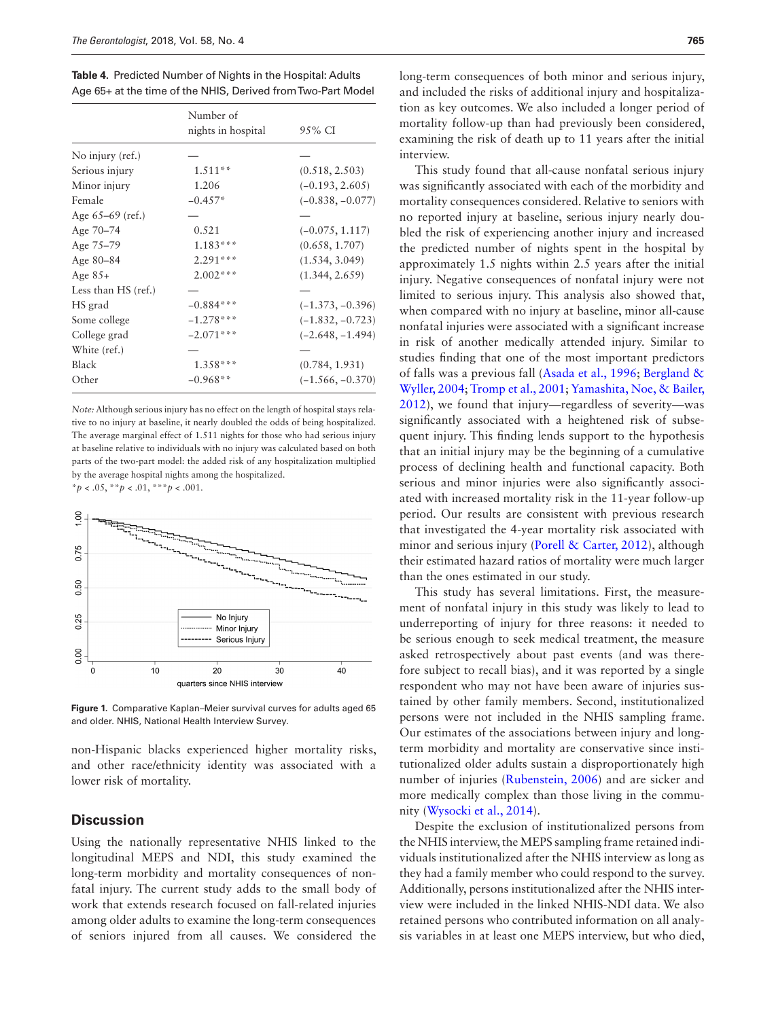<span id="page-6-0"></span>**Table 4.** Predicted Number of Nights in the Hospital: Adults Age 65+ at the time of the NHIS, Derived from Two-Part Model

|                     | Number of          |                    |
|---------------------|--------------------|--------------------|
|                     | nights in hospital | 95% CI             |
| No injury (ref.)    |                    |                    |
| Serious injury      | $1.511**$          | (0.518, 2.503)     |
| Minor injury        | 1.206              | $(-0.193, 2.605)$  |
| Female              | $-0.457*$          | $(-0.838, -0.077)$ |
| Age $65-69$ (ref.)  |                    |                    |
| Age 70–74           | 0.521              | $(-0.075, 1.117)$  |
| Age 75–79           | $1.183***$         | (0.658, 1.707)     |
| Age $80 - 84$       | $2.291***$         | (1.534, 3.049)     |
| Age $85+$           | $2.002***$         | (1.344, 2.659)     |
| Less than HS (ref.) |                    |                    |
| HS grad             | $-0.884***$        | $(-1.373, -0.396)$ |
| Some college        | $-1.278***$        | $(-1.832, -0.723)$ |
| College grad        | $-2.071***$        | $(-2.648, -1.494)$ |
| White (ref.)        |                    |                    |
| Black               | $1.358***$         | (0.784, 1.931)     |
| Other               | $-0.968**$         | $(-1.566, -0.370)$ |

*Note:* Although serious injury has no effect on the length of hospital stays relative to no injury at baseline, it nearly doubled the odds of being hospitalized. The average marginal effect of 1.511 nights for those who had serious injury at baseline relative to individuals with no injury was calculated based on both parts of the two-part model: the added risk of any hospitalization multiplied by the average hospital nights among the hospitalized.

\**p* < .05, \*\**p* < .01, \*\*\**p* < .001.



<span id="page-6-1"></span>**Figure 1.** Comparative Kaplan–Meier survival curves for adults aged 65 and older. NHIS, National Health Interview Survey.

non-Hispanic blacks experienced higher mortality risks, and other race/ethnicity identity was associated with a lower risk of mortality.

# **Discussion**

Using the nationally representative NHIS linked to the longitudinal MEPS and NDI, this study examined the long-term morbidity and mortality consequences of nonfatal injury. The current study adds to the small body of work that extends research focused on fall-related injuries among older adults to examine the long-term consequences of seniors injured from all causes. We considered the

long-term consequences of both minor and serious injury, and included the risks of additional injury and hospitalization as key outcomes. We also included a longer period of mortality follow-up than had previously been considered, examining the risk of death up to 11 years after the initial interview.

This study found that all-cause nonfatal serious injury was significantly associated with each of the morbidity and mortality consequences considered. Relative to seniors with no reported injury at baseline, serious injury nearly doubled the risk of experiencing another injury and increased the predicted number of nights spent in the hospital by approximately 1.5 nights within 2.5 years after the initial injury. Negative consequences of nonfatal injury were not limited to serious injury. This analysis also showed that, when compared with no injury at baseline, minor all-cause nonfatal injuries were associated with a significant increase in risk of another medically attended injury. Similar to studies finding that one of the most important predictors of falls was a previous fall ([Asada et al., 1996;](#page-7-4) [Bergland &](#page-7-5)  [Wyller, 2004;](#page-7-5) [Tromp et al., 2001;](#page-8-11) [Yamashita, Noe, & Bailer,](#page-8-12)  [2012](#page-8-12)), we found that injury—regardless of severity—was significantly associated with a heightened risk of subsequent injury. This finding lends support to the hypothesis that an initial injury may be the beginning of a cumulative process of declining health and functional capacity. Both serious and minor injuries were also significantly associated with increased mortality risk in the 11-year follow-up period. Our results are consistent with previous research that investigated the 4-year mortality risk associated with minor and serious injury [\(Porell & Carter, 2012](#page-8-2)), although their estimated hazard ratios of mortality were much larger than the ones estimated in our study.

This study has several limitations. First, the measurement of nonfatal injury in this study was likely to lead to underreporting of injury for three reasons: it needed to be serious enough to seek medical treatment, the measure asked retrospectively about past events (and was therefore subject to recall bias), and it was reported by a single respondent who may not have been aware of injuries sustained by other family members. Second, institutionalized persons were not included in the NHIS sampling frame. Our estimates of the associations between injury and longterm morbidity and mortality are conservative since institutionalized older adults sustain a disproportionately high number of injuries [\(Rubenstein, 2006\)](#page-8-24) and are sicker and more medically complex than those living in the community ([Wysocki et al., 2014](#page-8-25)).

Despite the exclusion of institutionalized persons from the NHIS interview, the MEPS sampling frame retained individuals institutionalized after the NHIS interview as long as they had a family member who could respond to the survey. Additionally, persons institutionalized after the NHIS interview were included in the linked NHIS-NDI data. We also retained persons who contributed information on all analysis variables in at least one MEPS interview, but who died,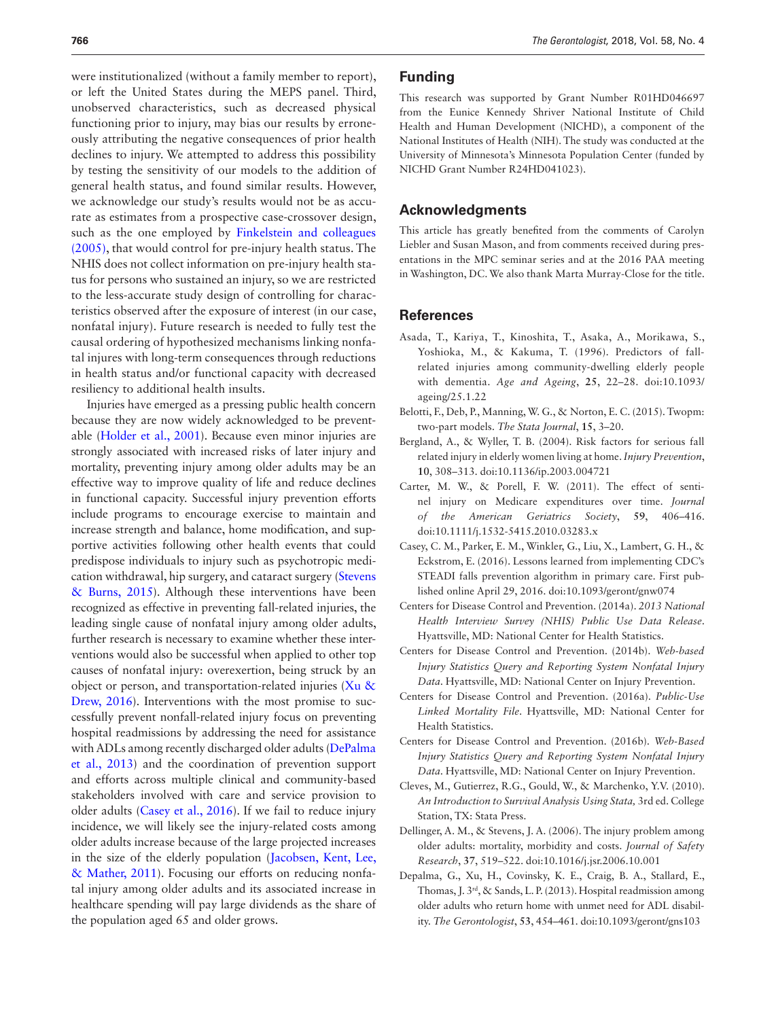were institutionalized (without a family member to report), or left the United States during the MEPS panel. Third, unobserved characteristics, such as decreased physical functioning prior to injury, may bias our results by erroneously attributing the negative consequences of prior health declines to injury. We attempted to address this possibility by testing the sensitivity of our models to the addition of general health status, and found similar results. However, we acknowledge our study's results would not be as accurate as estimates from a prospective case-crossover design, such as the one employed by [Finkelstein and colleagues](#page-8-8)  [\(2005\)](#page-8-8), that would control for pre-injury health status. The NHIS does not collect information on pre-injury health status for persons who sustained an injury, so we are restricted to the less-accurate study design of controlling for characteristics observed after the exposure of interest (in our case, nonfatal injury). Future research is needed to fully test the causal ordering of hypothesized mechanisms linking nonfatal injures with long-term consequences through reductions in health status and/or functional capacity with decreased resiliency to additional health insults.

Injuries have emerged as a pressing public health concern because they are now widely acknowledged to be preventable [\(Holder et al., 2001\)](#page-8-26). Because even minor injuries are strongly associated with increased risks of later injury and mortality, preventing injury among older adults may be an effective way to improve quality of life and reduce declines in functional capacity. Successful injury prevention efforts include programs to encourage exercise to maintain and increase strength and balance, home modification, and supportive activities following other health events that could predispose individuals to injury such as psychotropic medication withdrawal, hip surgery, and cataract surgery [\(Stevens](#page-8-27)  [& Burns, 2015](#page-8-27)). Although these interventions have been recognized as effective in preventing fall-related injuries, the leading single cause of nonfatal injury among older adults, further research is necessary to examine whether these interventions would also be successful when applied to other top causes of nonfatal injury: overexertion, being struck by an object or person, and transportation-related injuries ([Xu &](#page-8-7)  [Drew, 2016\)](#page-8-7). Interventions with the most promise to successfully prevent nonfall-related injury focus on preventing hospital readmissions by addressing the need for assistance with ADLs among recently discharged older adults (DePalma [et al., 2013](#page-7-10)) and the coordination of prevention support and efforts across multiple clinical and community-based stakeholders involved with care and service provision to older adults [\(Casey et al., 2016\)](#page-7-11). If we fail to reduce injury incidence, we will likely see the injury-related costs among older adults increase because of the large projected increases in the size of the elderly population [\(Jacobsen, Kent, Lee,](#page-8-28)  [& Mather, 2011\)](#page-8-28). Focusing our efforts on reducing nonfatal injury among older adults and its associated increase in healthcare spending will pay large dividends as the share of the population aged 65 and older grows.

# **Funding**

This research was supported by Grant Number R01HD046697 from the Eunice Kennedy Shriver National Institute of Child Health and Human Development (NICHD), a component of the National Institutes of Health (NIH). The study was conducted at the University of Minnesota's Minnesota Population Center (funded by NICHD Grant Number R24HD041023).

## **Acknowledgments**

This article has greatly benefited from the comments of Carolyn Liebler and Susan Mason, and from comments received during presentations in the MPC seminar series and at the 2016 PAA meeting in Washington, DC. We also thank Marta Murray-Close for the title.

#### **References**

- <span id="page-7-4"></span>Asada, T., Kariya, T., Kinoshita, T., Asaka, A., Morikawa, S., Yoshioka, M., & Kakuma, T. (1996). Predictors of fallrelated injuries among community-dwelling elderly people with dementia. *Age and Ageing*, **25**, 22–28. doi:10.1093/ ageing/25.1.22
- <span id="page-7-8"></span>Belotti, F., Deb, P., Manning, W. G., & Norton, E. C. (2015). Twopm: two-part models. *The Stata Journal*, **15**, 3–20.
- <span id="page-7-5"></span>Bergland, A., & Wyller, T. B. (2004). Risk factors for serious fall related injury in elderly women living at home. *Injury Prevention*, **10**, 308–313. doi:10.1136/ip.2003.004721
- <span id="page-7-2"></span>Carter, M. W., & Porell, F. W. (2011). The effect of sentinel injury on Medicare expenditures over time. *Journal of the American Geriatrics Society*, **59**, 406–416. doi:10.1111/j.1532-5415.2010.03283.x
- <span id="page-7-11"></span>Casey, C. M., Parker, E. M., Winkler, G., Liu, X., Lambert, G. H., & Eckstrom, E. (2016). Lessons learned from implementing CDC's STEADI falls prevention algorithm in primary care. First published online April 29, 2016. doi:10.1093/geront/gnw074
- <span id="page-7-6"></span>Centers for Disease Control and Prevention. (2014a). *2013 National Health Interview Survey (NHIS) Public Use Data Release*. Hyattsville, MD: National Center for Health Statistics.
- <span id="page-7-1"></span>Centers for Disease Control and Prevention. (2014b). *Web-based Injury Statistics Query and Reporting System Nonfatal Injury Data*. Hyattsville, MD: National Center on Injury Prevention.
- <span id="page-7-7"></span>Centers for Disease Control and Prevention. (2016a). *Public-Use Linked Mortality File*. Hyattsville, MD: National Center for Health Statistics.
- <span id="page-7-3"></span>Centers for Disease Control and Prevention. (2016b). *Web-Based Injury Statistics Query and Reporting System Nonfatal Injury Data*. Hyattsville, MD: National Center on Injury Prevention.
- <span id="page-7-9"></span>Cleves, M., Gutierrez, R.G., Gould, W., & Marchenko, Y.V. (2010). *An Introduction to Survival Analysis Using Stata,* 3rd ed. College Station, TX: Stata Press.
- <span id="page-7-0"></span>Dellinger, A. M., & Stevens, J. A. (2006). The injury problem among older adults: mortality, morbidity and costs. *Journal of Safety Research*, **37**, 519–522. doi:10.1016/j.jsr.2006.10.001
- <span id="page-7-10"></span>Depalma, G., Xu, H., Covinsky, K. E., Craig, B. A., Stallard, E., Thomas, J. 3rd, & Sands, L. P. (2013). Hospital readmission among older adults who return home with unmet need for ADL disability. *The Gerontologist*, **53**, 454–461. doi:10.1093/geront/gns103